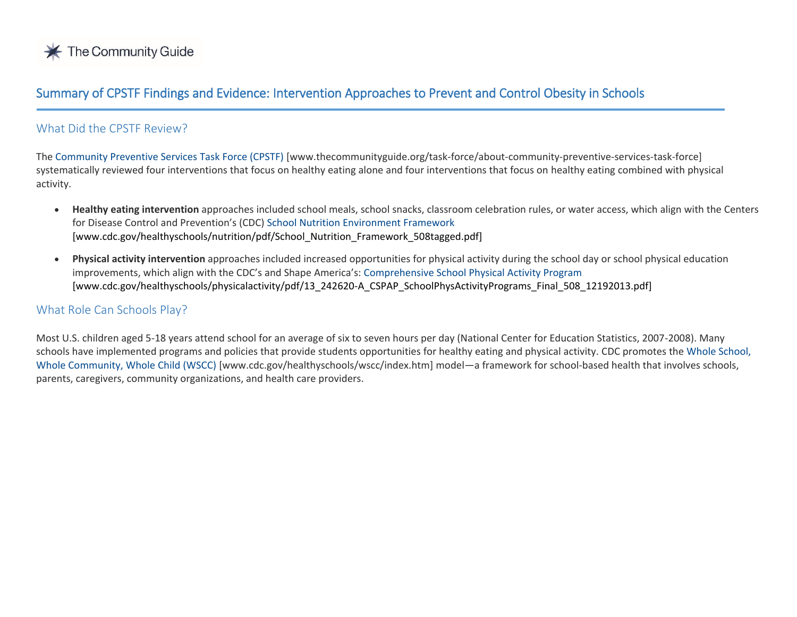

# Summary of CPSTF Findings and Evidence: Intervention Approaches to Prevent and Control Obesity in Schools

# What Did the CPSTF Review?

j

The [Community Preventive Services Task Force \(CPSTF\)](https://www.thecommunityguide.org/task-force/about-community-preventive-services-task-force) [www.thecommunityguide.org/task-force/about-community-preventive-services-task-force] systematically reviewed four interventions that focus on healthy eating alone and four interventions that focus on healthy eating combined with physical activity.

- **Healthy eating intervention** approaches included school meals, school snacks, classroom celebration rules, or water access, which align with the Centers for Disease Control and Prevention's (CDC) [School Nutrition Environment Framework](https://www.cdc.gov/healthyschools/nutrition/pdf/School_Nutrition_Framework_508tagged.pdf) [www.cdc.gov/healthyschools/nutrition/pdf/School\_Nutrition\_Framework\_508tagged.pdf]
- **Physical activity intervention** approaches included increased opportunities for physical activity during the school day or school physical education improvements, which align with the CDC's and Shape America's: [Comprehensive School Physical Activity Program](https://www.cdc.gov/healthyschools/physicalactivity/pdf/13_242620-A_CSPAP_SchoolPhysActivityPrograms_Final_508_12192013.pdf) [www.cdc.gov/healthyschools/physicalactivity/pdf/13\_242620-A\_CSPAP\_SchoolPhysActivityPrograms\_Final\_508\_12192013.pdf]

# What Role Can Schools Play?

Most U.S. children aged 5-18 years attend school for an average of six to seven hours per day (National Center for Education Statistics, 2007-2008). Many schools have implemented programs and policies that provide students opportunities for healthy eating and physical activity. CDC promotes the [Whole School,](https://www.cdc.gov/healthyschools/wscc/index.htm)  [Whole Community, Whole Child \(WSCC\)](https://www.cdc.gov/healthyschools/wscc/index.htm) [www.cdc.gov/healthyschools/wscc/index.htm] model—a framework for school-based health that involves schools, parents, caregivers, community organizations, and health care providers.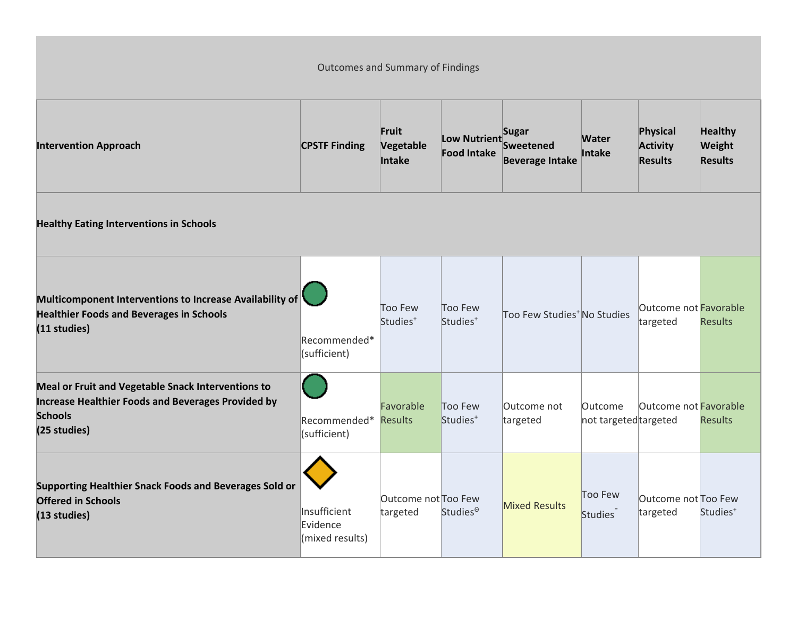| <b>Outcomes and Summary of Findings</b>                                                                                                    |                                             |                                 |                                    |                                                            |                                  |                                               |                                            |  |  |
|--------------------------------------------------------------------------------------------------------------------------------------------|---------------------------------------------|---------------------------------|------------------------------------|------------------------------------------------------------|----------------------------------|-----------------------------------------------|--------------------------------------------|--|--|
| <b>Intervention Approach</b>                                                                                                               | <b>CPSTF Finding</b>                        | Fruit<br>Vegetable<br>Intake    | Low Nutrient<br><b>Food Intake</b> | <b>Sugar</b><br><b>Sweetened</b><br><b>Beverage Intake</b> | <b>Water</b><br>Intake           | Physical<br><b>Activity</b><br><b>Results</b> | <b>Healthy</b><br>Weight<br><b>Results</b> |  |  |
| <b>Healthy Eating Interventions in Schools</b>                                                                                             |                                             |                                 |                                    |                                                            |                                  |                                               |                                            |  |  |
| Multicomponent Interventions to Increase Availability of<br><b>Healthier Foods and Beverages in Schools</b><br>(11 studies)                | Recommended*<br>(sufficient)                | Too Few<br>Studies <sup>+</sup> | Too Few<br>Studies <sup>+</sup>    | Too Few Studies <sup>+</sup> No Studies                    |                                  | Outcome not Favorable<br>targeted             | <b>Results</b>                             |  |  |
| Meal or Fruit and Vegetable Snack Interventions to<br>Increase Healthier Foods and Beverages Provided by<br><b>Schools</b><br>(25 studies) | Recommended*<br>(sufficient)                | Favorable<br><b>Results</b>     | Too Few<br>Studies <sup>+</sup>    | Outcome not<br>targeted                                    | Outcome<br>not targeted targeted | Outcome not Favorable                         | <b>Results</b>                             |  |  |
| Supporting Healthier Snack Foods and Beverages Sold or<br><b>Offered in Schools</b><br>(13 studies)                                        | Insufficient<br>Evidence<br>(mixed results) | Outcome not Too Few<br>targeted | Studies <sup>®</sup>               | <b>Mixed Results</b>                                       | Too Few<br>Studies               | Outcome not Too Few<br>targeted               | Studies <sup>+</sup>                       |  |  |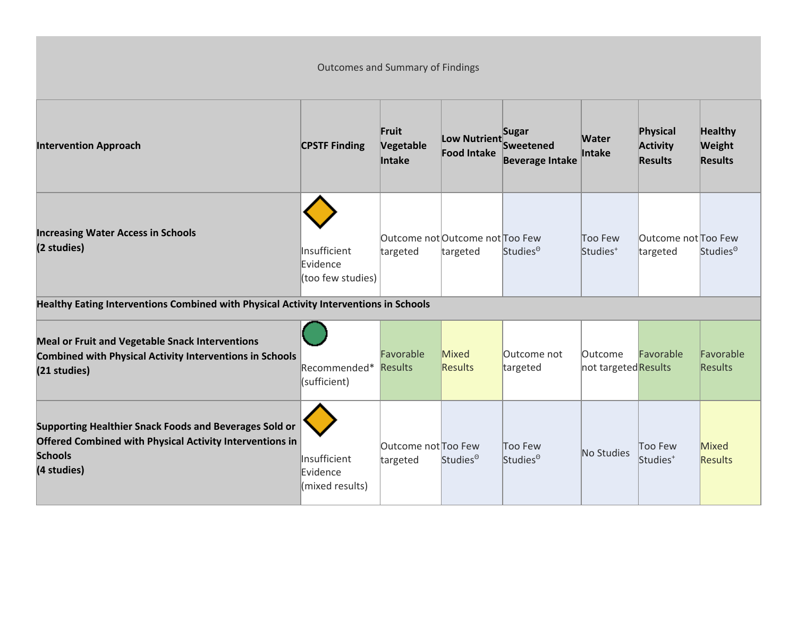| <b>Outcomes and Summary of Findings</b>                                                                                                                    |                                               |                                 |                                             |                                              |                                       |                                               |                                            |  |
|------------------------------------------------------------------------------------------------------------------------------------------------------------|-----------------------------------------------|---------------------------------|---------------------------------------------|----------------------------------------------|---------------------------------------|-----------------------------------------------|--------------------------------------------|--|
| <b>Intervention Approach</b>                                                                                                                               | <b>CPSTF Finding</b>                          | Fruit<br>Vegetable<br>Intake    | Low Nutrient<br><b>Food Intake</b>          | Sugar<br>Sweetened<br><b>Beverage Intake</b> | <b>Water</b><br>Intake                | Physical<br><b>Activity</b><br><b>Results</b> | <b>Healthy</b><br>Weight<br><b>Results</b> |  |
| <b>Increasing Water Access in Schools</b><br>(2 studies)                                                                                                   | Insufficient<br>Evidence<br>(too few studies) | targeted                        | Outcome not Outcome not Too Few<br>targeted | Studies <sup>®</sup>                         | Too Few<br>Studies <sup>+</sup>       | Outcome not Too Few<br>targeted               | Studies <sup>®</sup>                       |  |
| Healthy Eating Interventions Combined with Physical Activity Interventions in Schools                                                                      |                                               |                                 |                                             |                                              |                                       |                                               |                                            |  |
| <b>Meal or Fruit and Vegetable Snack Interventions</b><br><b>Combined with Physical Activity Interventions in Schools</b><br>(21 studies)                  | Recommended*<br>(sufficient)                  | Favorable<br><b>Results</b>     | Mixed<br>Results                            | Outcome not<br>targeted                      | <b>Outcome</b><br>not targetedResults | Favorable                                     | Favorable<br>Results                       |  |
| Supporting Healthier Snack Foods and Beverages Sold or<br><b>Offered Combined with Physical Activity Interventions in</b><br><b>Schools</b><br>(4 studies) | Insufficient<br>Evidence<br>(mixed results)   | Outcome not Too Few<br>targeted | Studies <sup>o</sup>                        | Too Few<br>Studies <sup>®</sup>              | No Studies                            | Too Few<br>Studies <sup>+</sup>               | Mixed<br><b>Results</b>                    |  |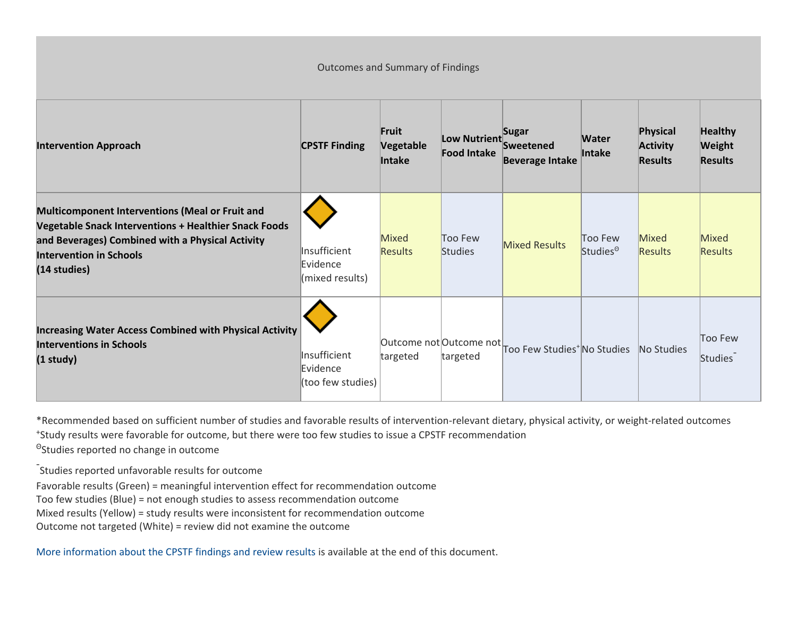Outcomes and Summary of Findings

| <b>Intervention Approach</b>                                                                                                                                                                                                 | <b>CPSTF Finding</b>                          | Fruit<br>Vegetable<br>Intake | Low Nutrient<br><b>Food Intake</b>  | Sugar<br>Sweetened<br><b>Beverage Intake</b> | <b>Water</b><br><b>Intake</b>   | Physical<br><b>Activity</b><br><b>Results</b> | <b>Healthy</b><br>Weight<br><b>Results</b> |
|------------------------------------------------------------------------------------------------------------------------------------------------------------------------------------------------------------------------------|-----------------------------------------------|------------------------------|-------------------------------------|----------------------------------------------|---------------------------------|-----------------------------------------------|--------------------------------------------|
| <b>Multicomponent Interventions (Meal or Fruit and</b><br><b>Vegetable Snack Interventions + Healthier Snack Foods</b><br>and Beverages) Combined with a Physical Activity<br><b>Intervention in Schools</b><br>(14 studies) | Insufficient<br>Evidence<br>(mixed results)   | Mixed<br><b>Results</b>      | Too Few<br><b>Studies</b>           | <b>Mixed Results</b>                         | Too Few<br>Studies <sup>®</sup> | Mixed<br><b>Results</b>                       | Mixed<br><b>Results</b>                    |
| <b>Increasing Water Access Combined with Physical Activity</b><br><b>Interventions in Schools</b><br>$(1$ study)                                                                                                             | Insufficient<br>Evidence<br>(too few studies) | targeted                     | Outcome not Outcome not<br>targeted | Too Few Studies <sup>+</sup> No Studies      |                                 | No Studies                                    | Too Few<br>Studies                         |

\*Recommended based on sufficient number of studies and favorable results of intervention-relevant dietary, physical activity, or weight-related outcomes + Study results were favorable for outcome, but there were too few studies to issue a CPSTF recommendation

Θ Studies reported no change in outcome

- Studies reported unfavorable results for outcome

Favorable results (Green) = meaningful intervention effect for recommendation outcome

Too few studies (Blue) = not enough studies to assess recommendation outcome

Mixed results (Yellow) = study results were inconsistent for recommendation outcome

Outcome not targeted (White) = review did not examine the outcome

More [information about the CPSTF findings and review results](#page-6-0) is available at the end of this document.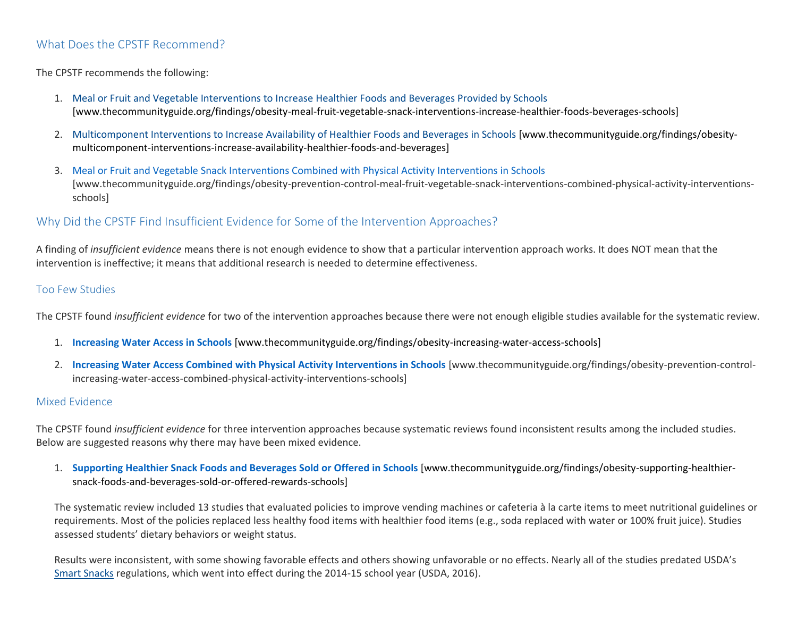# What Does the CPSTF Recommend?

## The CPSTF recommends the following:

- 1. [Meal or Fruit and Vegetable Interventions to Increase Healthier Foods and Beverages Provided by Schools](https://www.thecommunityguide.org/findings/obesity-meal-fruit-vegetable-snack-interventions-increase-healthier-foods-beverages-schools) [www.thecommunityguide.org/findings/obesity-meal-fruit-vegetable-snack-interventions-increase-healthier-foods-beverages-schools]
- 2. [Multicomponent Interventions to Increase Availability of Healthier Foods and Beverages in Schools](https://www.thecommunityguide.org/findings/obesity-multicomponent-interventions-increase-availability-healthier-foods-and-beverages) [www.thecommunityguide.org/findings/obesitymulticomponent-interventions-increase-availability-healthier-foods-and-beverages]
- 3. [Meal or Fruit and Vegetable Snack Interventions Combined with Physical Activity Interventions in Schools](https://www.thecommunityguide.org/findings/obesity-prevention-control-meal-fruit-vegetable-snack-interventions-combined-physical-activity-interventions-schools) [www.thecommunityguide.org/findings/obesity-prevention-control-meal-fruit-vegetable-snack-interventions-combined-physical-activity-interventionsschools]

# Why Did the CPSTF Find Insufficient Evidence for Some of the Intervention Approaches?

A finding of *insufficient evidence* means there is not enough evidence to show that a particular intervention approach works. It does NOT mean that the intervention is ineffective; it means that additional research is needed to determine effectiveness.

### Too Few Studies

The CPSTF found *insufficient evidence* for two of the intervention approaches because there were not enough eligible studies available for the systematic review.

- 1. **[Increasing Water Access in Schools](https://www.thecommunityguide.org/findings/obesity-increasing-water-access-schools)** [www.thecommunityguide.org/findings/obesity-increasing-water-access-schools]
- 2. **[Increasing Water Access Combined with Physical Activity Interventions in Schools](https://www.thecommunityguide.org/findings/obesity-prevention-control-increasing-water-access-combined-physical-activity-interventions-schools)** [www.thecommunityguide.org/findings/obesity-prevention-controlincreasing-water-access-combined-physical-activity-interventions-schools]

### Mixed Evidence

The CPSTF found *insufficient evidence* for three intervention approaches because systematic reviews found inconsistent results among the included studies. Below are suggested reasons why there may have been mixed evidence.

1. **[Supporting Healthier Snack Foods and Beverages Sold or Offered in Schools](https://www.thecommunityguide.org/findings/obesity-supporting-healthier-snack-foods-and-beverages-sold-or-offered-rewards-schools)** [www.thecommunityguide.org/findings/obesity-supporting-healthiersnack-foods-and-beverages-sold-or-offered-rewards-schools]

The systematic review included 13 studies that evaluated policies to improve vending machines or cafeteria à la carte items to meet nutritional guidelines or requirements. Most of the policies replaced less healthy food items with healthier food items (e.g., soda replaced with water or 100% fruit juice). Studies assessed students' dietary behaviors or weight status.

Results were inconsistent, with some showing favorable effects and others showing unfavorable or no effects. Nearly all of the studies predated USDA's [Smart Snacks](https://www.fns.usda.gov/school-meals/tools-schools-focusing-smart-snacks) regulations, which went into effect during the 2014-15 school year (USDA, 2016).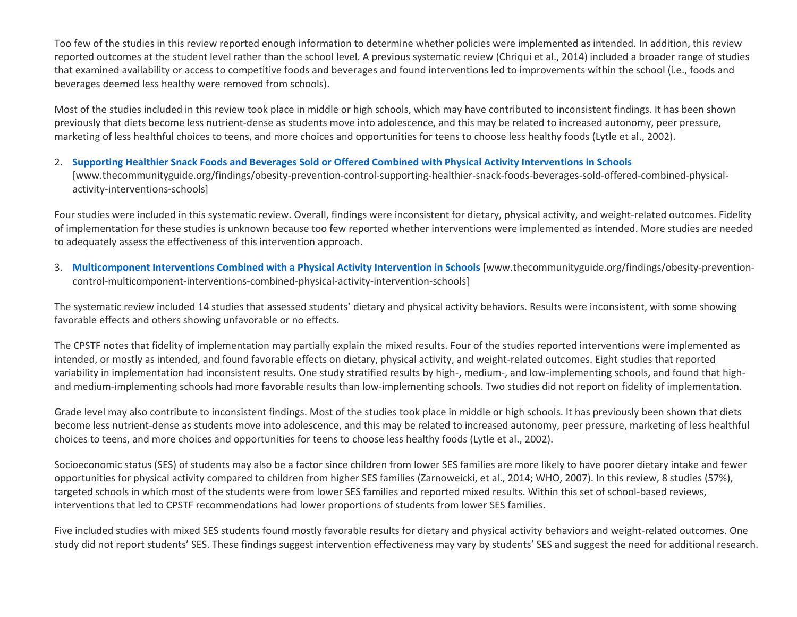Too few of the studies in this review reported enough information to determine whether policies were implemented as intended. In addition, this review reported outcomes at the student level rather than the school level. A previous systematic review (Chriqui et al., 2014) included a broader range of studies that examined availability or access to competitive foods and beverages and found interventions led to improvements within the school (i.e., foods and beverages deemed less healthy were removed from schools).

Most of the studies included in this review took place in middle or high schools, which may have contributed to inconsistent findings. It has been shown previously that diets become less nutrient-dense as students move into adolescence, and this may be related to increased autonomy, peer pressure, marketing of less healthful choices to teens, and more choices and opportunities for teens to choose less healthy foods (Lytle et al., 2002).

### 2. **[Supporting Healthier Snack Foods and Beverages Sold or Offered Combined with Physical Activity Interventions in Schools](https://www.thecommunityguide.org/findings/obesity-prevention-control-supporting-healthier-snack-foods-beverages-sold-offered-combined-physical-activity-interventions-schools)**

[www.thecommunityguide.org/findings/obesity-prevention-control-supporting-healthier-snack-foods-beverages-sold-offered-combined-physicalactivity-interventions-schools]

Four studies were included in this systematic review. Overall, findings were inconsistent for dietary, physical activity, and weight-related outcomes. Fidelity of implementation for these studies is unknown because too few reported whether interventions were implemented as intended. More studies are needed to adequately assess the effectiveness of this intervention approach.

3. **[Multicomponent Interventions Combined with a Physical Activity Intervention in Schools](https://www.thecommunityguide.org/findings/obesity-prevention-control-multicomponent-interventions-combined-physical-activity-intervention-schools)** [www.thecommunityguide.org/findings/obesity-preventioncontrol-multicomponent-interventions-combined-physical-activity-intervention-schools]

The systematic review included 14 studies that assessed students' dietary and physical activity behaviors. Results were inconsistent, with some showing favorable effects and others showing unfavorable or no effects.

The CPSTF notes that fidelity of implementation may partially explain the mixed results. Four of the studies reported interventions were implemented as intended, or mostly as intended, and found favorable effects on dietary, physical activity, and weight-related outcomes. Eight studies that reported variability in implementation had inconsistent results. One study stratified results by high-, medium-, and low-implementing schools, and found that highand medium-implementing schools had more favorable results than low-implementing schools. Two studies did not report on fidelity of implementation.

Grade level may also contribute to inconsistent findings. Most of the studies took place in middle or high schools. It has previously been shown that diets become less nutrient-dense as students move into adolescence, and this may be related to increased autonomy, peer pressure, marketing of less healthful choices to teens, and more choices and opportunities for teens to choose less healthy foods (Lytle et al., 2002).

Socioeconomic status (SES) of students may also be a factor since children from lower SES families are more likely to have poorer dietary intake and fewer opportunities for physical activity compared to children from higher SES families (Zarnoweicki, et al., 2014; WHO, 2007). In this review, 8 studies (57%), targeted schools in which most of the students were from lower SES families and reported mixed results. Within this set of school-based reviews, interventions that led to CPSTF recommendations had lower proportions of students from lower SES families.

Five included studies with mixed SES students found mostly favorable results for dietary and physical activity behaviors and weight-related outcomes. One study did not report students' SES. These findings suggest intervention effectiveness may vary by students' SES and suggest the need for additional research.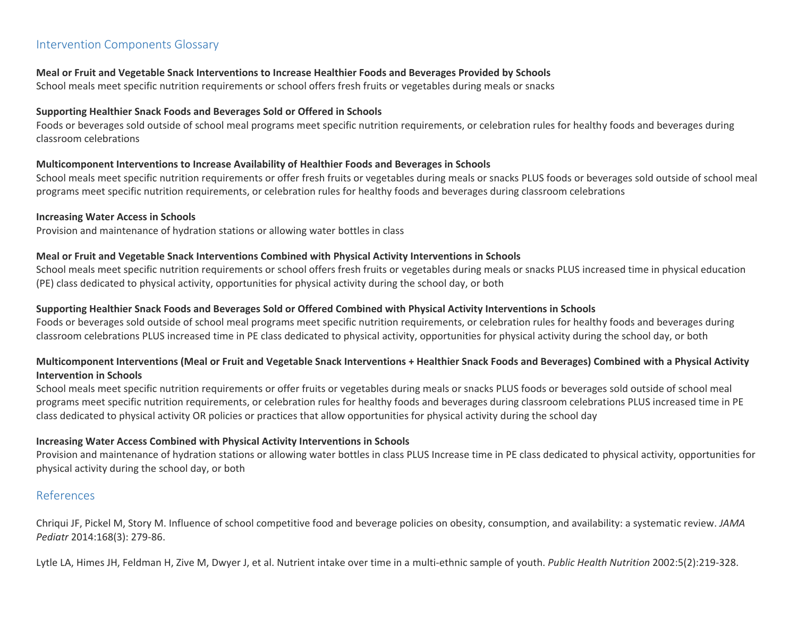# <span id="page-6-0"></span>Intervention Components Glossary

#### **Meal or Fruit and Vegetable Snack Interventions to Increase Healthier Foods and Beverages Provided by Schools**

School meals meet specific nutrition requirements or school offers fresh fruits or vegetables during meals or snacks

#### **Supporting Healthier Snack Foods and Beverages Sold or Offered in Schools**

Foods or beverages sold outside of school meal programs meet specific nutrition requirements, or celebration rules for healthy foods and beverages during classroom celebrations

### **Multicomponent Interventions to Increase Availability of Healthier Foods and Beverages in Schools**

School meals meet specific nutrition requirements or offer fresh fruits or vegetables during meals or snacks PLUS foods or beverages sold outside of school meal programs meet specific nutrition requirements, or celebration rules for healthy foods and beverages during classroom celebrations

#### **Increasing Water Access in Schools**

Provision and maintenance of hydration stations or allowing water bottles in class

#### **Meal or Fruit and Vegetable Snack Interventions Combined with Physical Activity Interventions in Schools**

School meals meet specific nutrition requirements or school offers fresh fruits or vegetables during meals or snacks PLUS increased time in physical education (PE) class dedicated to physical activity, opportunities for physical activity during the school day, or both

#### **Supporting Healthier Snack Foods and Beverages Sold or Offered Combined with Physical Activity Interventions in Schools**

Foods or beverages sold outside of school meal programs meet specific nutrition requirements, or celebration rules for healthy foods and beverages during classroom celebrations PLUS increased time in PE class dedicated to physical activity, opportunities for physical activity during the school day, or both

## **Multicomponent Interventions (Meal or Fruit and Vegetable Snack Interventions + Healthier Snack Foods and Beverages) Combined with a Physical Activity Intervention in Schools**

School meals meet specific nutrition requirements or offer fruits or vegetables during meals or snacks PLUS foods or beverages sold outside of school meal programs meet specific nutrition requirements, or celebration rules for healthy foods and beverages during classroom celebrations PLUS increased time in PE class dedicated to physical activity OR policies or practices that allow opportunities for physical activity during the school day

### **Increasing Water Access Combined with Physical Activity Interventions in Schools**

Provision and maintenance of hydration stations or allowing water bottles in class PLUS Increase time in PE class dedicated to physical activity, opportunities for physical activity during the school day, or both

# References

Chriqui JF, Pickel M, Story M. Influence of school competitive food and beverage policies on obesity, consumption, and availability: a systematic review. *JAMA Pediatr* 2014:168(3): 279-86.

Lytle LA, Himes JH, Feldman H, Zive M, Dwyer J, et al. Nutrient intake over time in a multi-ethnic sample of youth. *Public Health Nutrition* 2002:5(2):219-328.